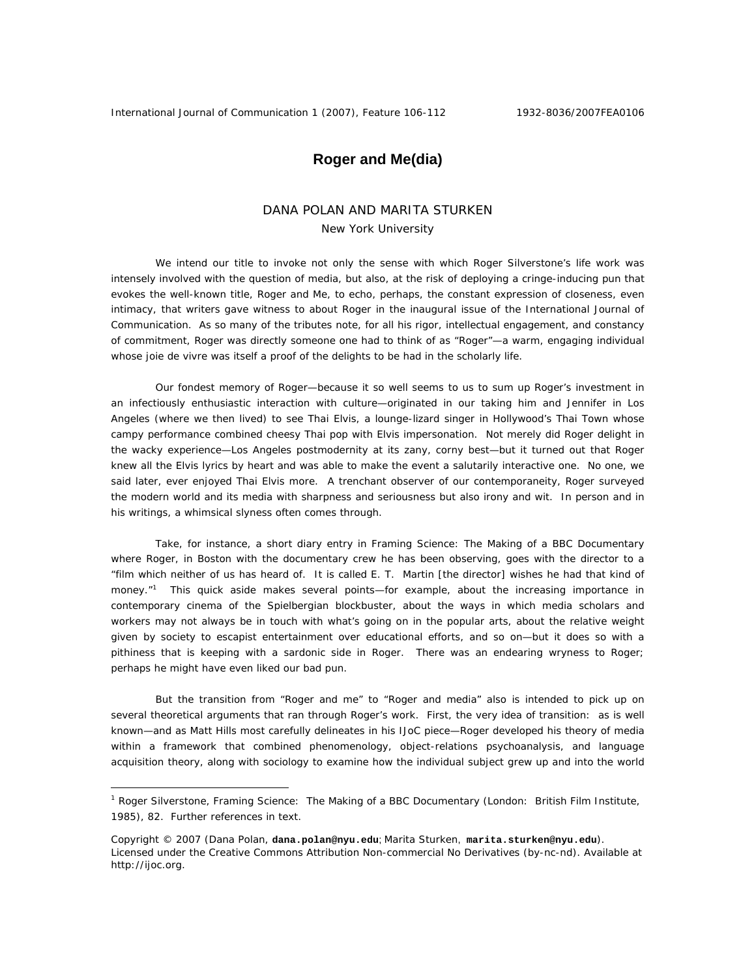## **Roger and Me(dia)**

## DANA POLAN AND MARITA STURKEN New York University

We intend our title to invoke not only the sense with which Roger Silverstone's life work was intensely involved with the question of media, but also, at the risk of deploying a cringe-inducing pun that evokes the well-known title, Roger and Me, to echo, perhaps, the constant expression of closeness, even intimacy, that writers gave witness to about Roger in the inaugural issue of the *International Journal of Communication*. As so many of the tributes note, for all his rigor, intellectual engagement, and constancy of commitment, Roger was directly someone one had to think of as "Roger"—a warm, engaging individual whose joie de vivre was itself a proof of the delights to be had in the scholarly life.

Our fondest memory of Roger—because it so well seems to us to sum up Roger's investment in an infectiously enthusiastic interaction with culture—originated in our taking him and Jennifer in Los Angeles (where we then lived) to see Thai Elvis, a lounge-lizard singer in Hollywood's Thai Town whose campy performance combined cheesy Thai pop with Elvis impersonation. Not merely did Roger delight in the wacky experience—Los Angeles postmodernity at its zany, corny best—but it turned out that Roger knew all the Elvis lyrics by heart and was able to make the event a salutarily interactive one. No one, we said later, ever enjoyed Thai Elvis more. A trenchant observer of our contemporaneity, Roger surveyed the modern world and its media with sharpness and seriousness but also irony and wit. In person and in his writings, a whimsical slyness often comes through.

Take, for instance, a short diary entry in *Framing Science: The Making of a BBC Documentary* where Roger, in Boston with the documentary crew he has been observing, goes with the director to a "film which neither of us has heard of. It is called *E. T.* Martin [the director] wishes he had that kind of money."<sup>1</sup> This quick aside makes several points—for example, about the increasing importance in contemporary cinema of the Spielbergian blockbuster, about the ways in which media scholars and workers may not always be in touch with what's going on in the popular arts, about the relative weight given by society to escapist entertainment over educational efforts, and so on—but it does so with a pithiness that is keeping with a sardonic side in Roger. There was an endearing wryness to Roger; perhaps he might have even liked our bad pun.

But the transition from "Roger and me" to "Roger and media" also is intended to pick up on several theoretical arguments that ran through Roger's work. First, the very idea of transition: as is well known—and as Matt Hills most carefully delineates in his *IJoC* piece—Roger developed his theory of media within a framework that combined phenomenology, object-relations psychoanalysis, and language acquisition theory, along with sociology to examine how the individual subject grew up and into the world

 $\overline{a}$ 

<sup>&</sup>lt;sup>1</sup> Roger Silverstone, *Framing Science: The Making of a BBC Documentary* (London: British Film Institute, 1985), 82. Further references in text.

Copyright © 2007 (Dana Polan, **dana.polan@nyu.edu**; Marita Sturken, **marita.sturken@nyu.edu**). Licensed under the Creative Commons Attribution Non-commercial No Derivatives (by-nc-nd). Available at http://ijoc.org.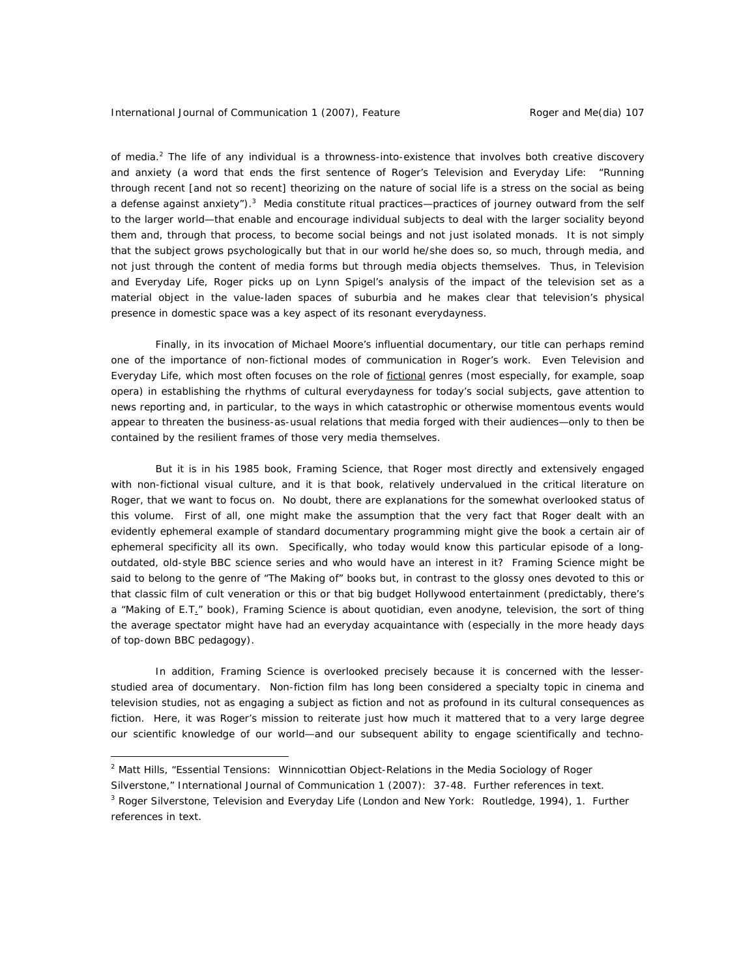of media.<sup>2</sup> The life of any individual is a throwness-into-existence that involves both creative discovery and anxiety (a word that ends the first sentence of Roger's *Television and Everyday Life*: "Running through recent [and not so recent] theorizing on the nature of social life is a stress on the social as being a defense against anxiety").<sup>3</sup> Media constitute ritual practices—practices of journey outward from the self to the larger world—that enable and encourage individual subjects to deal with the larger sociality beyond them and, through that process, to become social beings and not just isolated monads. It is not simply that the subject grows psychologically but that in our world he/she does so, so much, through media, and not just through the content of media forms but through media objects themselves. Thus, in *Television and Everyday Life*, Roger picks up on Lynn Spigel's analysis of the impact of the television set as a material object in the value-laden spaces of suburbia and he makes clear that television's physical presence in domestic space was a key aspect of its resonant everydayness.

Finally, in its invocation of Michael Moore's influential documentary, our title can perhaps remind one of the importance of non-fictional modes of communication in Roger's work. Even *Television and Everyday Life*, which most often focuses on the role of fictional genres (most especially, for example, soap opera) in establishing the rhythms of cultural everydayness for today's social subjects, gave attention to news reporting and, in particular, to the ways in which catastrophic or otherwise momentous events would appear to threaten the business-as-usual relations that media forged with their audiences—only to then be contained by the resilient frames of those very media themselves.

But it is in his 1985 book, *Framing Science*, that Roger most directly and extensively engaged with non-fictional visual culture, and it is that book, relatively undervalued in the critical literature on Roger, that we want to focus on. No doubt, there are explanations for the somewhat overlooked status of this volume. First of all, one might make the assumption that the very fact that Roger dealt with an evidently ephemeral example of standard documentary programming might give the book a certain air of ephemeral specificity all its own. Specifically, who today would know this particular episode of a longoutdated, old-style BBC science series and who would have an interest in it? *Framing Science* might be said to belong to the genre of "The Making of" books but, in contrast to the glossy ones devoted to this or that classic film of cult veneration or this or that big budget Hollywood entertainment (predictably, there's a "*Making of E.T.*" book), *Framing Science* is about quotidian, even anodyne, television, the sort of thing the average spectator might have had an everyday acquaintance with (especially in the more heady days of top-down BBC pedagogy).

In addition, *Framing Science* is overlooked precisely because it is concerned with the lesserstudied area of documentary. Non-fiction film has long been considered a specialty topic in cinema and television studies, not as engaging a subject as fiction and not as profound in its cultural consequences as fiction. Here, it was Roger's mission to reiterate just how much it mattered that to a very large degree our scientific knowledge of our world—and our subsequent ability to engage scientifically and techno-

 $\overline{a}$ 

<sup>&</sup>lt;sup>2</sup> Matt Hills, "Essential Tensions: Winnnicottian Object-Relations in the Media Sociology of Roger

Silverstone," *International Journal of Communication* 1 (2007): 37-48. Further references in text.

<sup>3</sup> Roger Silverstone, *Television and Everyday Life* (London and New York: Routledge, 1994), 1. Further references in text.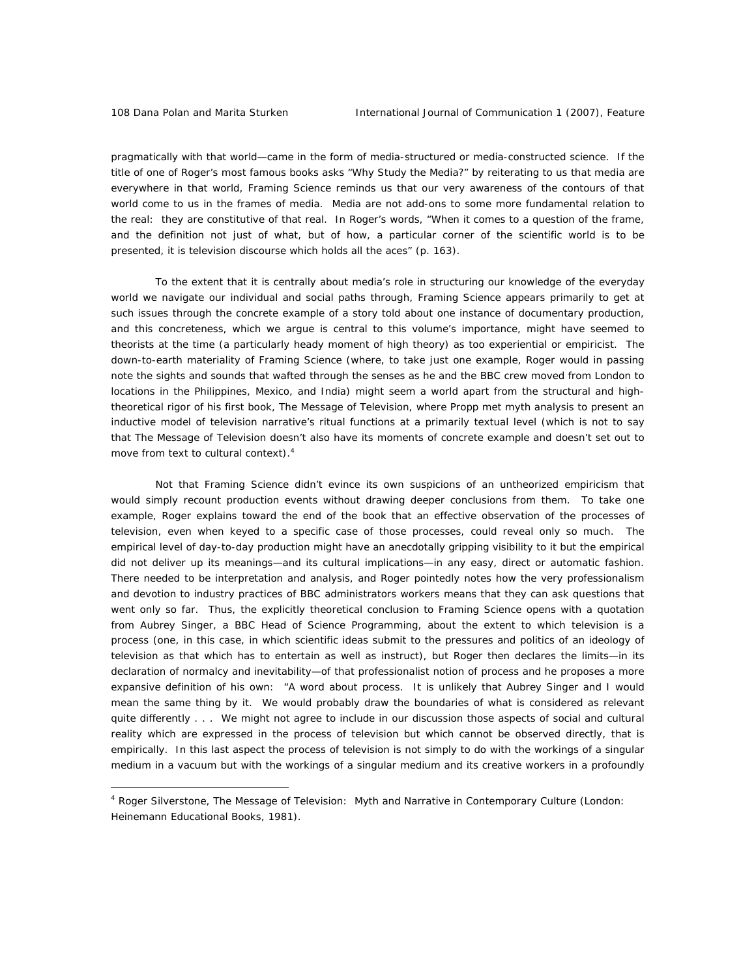$\overline{a}$ 

pragmatically with that world—came in the form of media-structured or media-constructed science. If the title of one of Roger's most famous books asks "Why Study the Media?" by reiterating to us that media are everywhere in that world, *Framing Science* reminds us that our very awareness of the contours of that world come to us in the frames of media. Media are not add-ons to some more fundamental relation to the real: they are constitutive of that real. In Roger's words, "When it comes to a question of the frame, and the definition not just of what, but of how, a particular corner of the scientific world is to be presented, it is television discourse which holds all the aces" (p. 163).

To the extent that it is centrally about media's role in structuring our knowledge of the everyday world we navigate our individual and social paths through, *Framing Science* appears primarily to get at such issues through the concrete example of a story told about one instance of documentary production, and this concreteness, which we argue is central to this volume's importance, might have seemed to theorists at the time (a particularly heady moment of high theory) as too experiential or empiricist. The down-to-earth materiality of *Framing Science* (where, to take just one example, Roger would in passing note the sights and sounds that wafted through the senses as he and the BBC crew moved from London to locations in the Philippines, Mexico, and India) might seem a world apart from the structural and hightheoretical rigor of his first book, *The Message of Television*, where Propp met myth analysis to present an inductive model of television narrative's ritual functions at a primarily textual level (which is not to say that *The Message of Television* doesn't also have its moments of concrete example and doesn't set out to move from text to cultural context).<sup>4</sup>

Not that *Framing Science* didn't evince its own suspicions of an untheorized empiricism that would simply recount production events without drawing deeper conclusions from them. To take one example, Roger explains toward the end of the book that an effective observation of the processes of television, even when keyed to a specific case of those processes, could reveal only so much. The empirical level of day-to-day production might have an anecdotally gripping visibility to it but the empirical did not deliver up its meanings—and its cultural implications—in any easy, direct or automatic fashion. There needed to be interpretation and analysis, and Roger pointedly notes how the very professionalism and devotion to industry practices of BBC administrators workers means that they can ask questions that went only so far. Thus, the explicitly theoretical conclusion to *Framing Science* opens with a quotation from Aubrey Singer, a BBC Head of Science Programming, about the extent to which television is a process (one, in this case, in which scientific ideas submit to the pressures and politics of an ideology of television as that which has to entertain as well as instruct), but Roger then declares the limits—in its declaration of normalcy and inevitability—of that professionalist notion of process and he proposes a more expansive definition of his own: "A word about process. It is unlikely that Aubrey Singer and I would mean the same thing by it. We would probably draw the boundaries of what is considered as relevant quite differently . . . We might not agree to include in our discussion those aspects of social and cultural reality which are expressed in the process of television but which cannot be observed directly, that is empirically. In this last aspect the process of television is not simply to do with the workings of a singular medium in a vacuum but with the workings of a singular medium and its creative workers in a profoundly

<sup>4</sup> Roger Silverstone, *The Message of Television: Myth and Narrative in Contemporary Culture* (London: Heinemann Educational Books, 1981).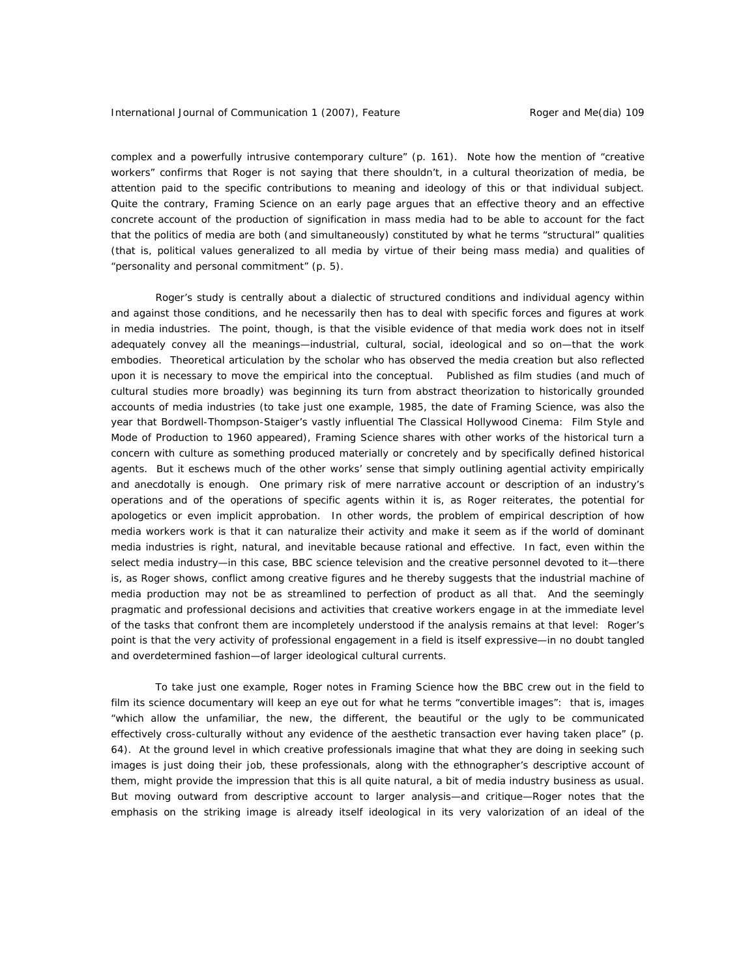complex and a powerfully intrusive contemporary culture" (p. 161). Note how the mention of "creative workers" confirms that Roger is not saying that there shouldn't, in a cultural theorization of media, be attention paid to the specific contributions to meaning and ideology of this or that individual subject. Quite the contrary, *Framing Science* on an early page argues that an effective theory and an effective concrete account of the production of signification in mass media had to be able to account for the fact that the politics of media are both (and simultaneously) constituted by what he terms "structural" qualities (that is, political values generalized to all media by virtue of their being mass media) and qualities of "personality and personal commitment" (p. 5).

Roger's study is centrally about a dialectic of structured conditions and individual agency within and against those conditions, and he necessarily then has to deal with specific forces and figures at work in media industries. The point, though, is that the visible evidence of that media work does not in itself adequately convey all the meanings—industrial, cultural, social, ideological and so on—that the work embodies. Theoretical articulation by the scholar who has observed the media creation but also reflected upon it is necessary to move the empirical into the conceptual. Published as film studies (and much of cultural studies more broadly) was beginning its turn from abstract theorization to historically grounded accounts of media industries (to take just one example, 1985, the date of *Framing Science*, was also the year that Bordwell-Thompson-Staiger's vastly influential *The Classical Hollywood Cinema: Film Style and Mode of Production to 1960* appeared), *Framing Science* shares with other works of the historical turn a concern with culture as something produced materially or concretely and by specifically defined historical agents. But it eschews much of the other works' sense that simply outlining agential activity empirically and anecdotally is enough. One primary risk of mere narrative account or description of an industry's operations and of the operations of specific agents within it is, as Roger reiterates, the potential for apologetics or even implicit approbation. In other words, the problem of empirical description of how media workers work is that it can naturalize their activity and make it seem as if the world of dominant media industries is right, natural, and inevitable because rational and effective. In fact, even within the select media industry—in this case, BBC science television and the creative personnel devoted to it—there is, as Roger shows, conflict among creative figures and he thereby suggests that the industrial machine of media production may not be as streamlined to perfection of product as all that. And the seemingly pragmatic and professional decisions and activities that creative workers engage in at the immediate level of the tasks that confront them are incompletely understood if the analysis remains at that level: Roger's point is that the very activity of professional engagement in a field is itself expressive—in no doubt tangled and overdetermined fashion—of larger ideological cultural currents.

To take just one example, Roger notes in *Framing Science* how the BBC crew out in the field to film its science documentary will keep an eye out for what he terms "convertible images": that is, images "which allow the unfamiliar, the new, the different, the beautiful or the ugly to be communicated effectively cross-culturally without any evidence of the aesthetic transaction ever having taken place" (p. 64). At the ground level in which creative professionals imagine that what they are doing in seeking such images is just doing their job, these professionals, along with the ethnographer's descriptive account of them, might provide the impression that this is all quite natural, a bit of media industry business as usual. But moving outward from descriptive account to larger analysis—and critique—Roger notes that the emphasis on the striking image is already itself ideological in its very valorization of an ideal of the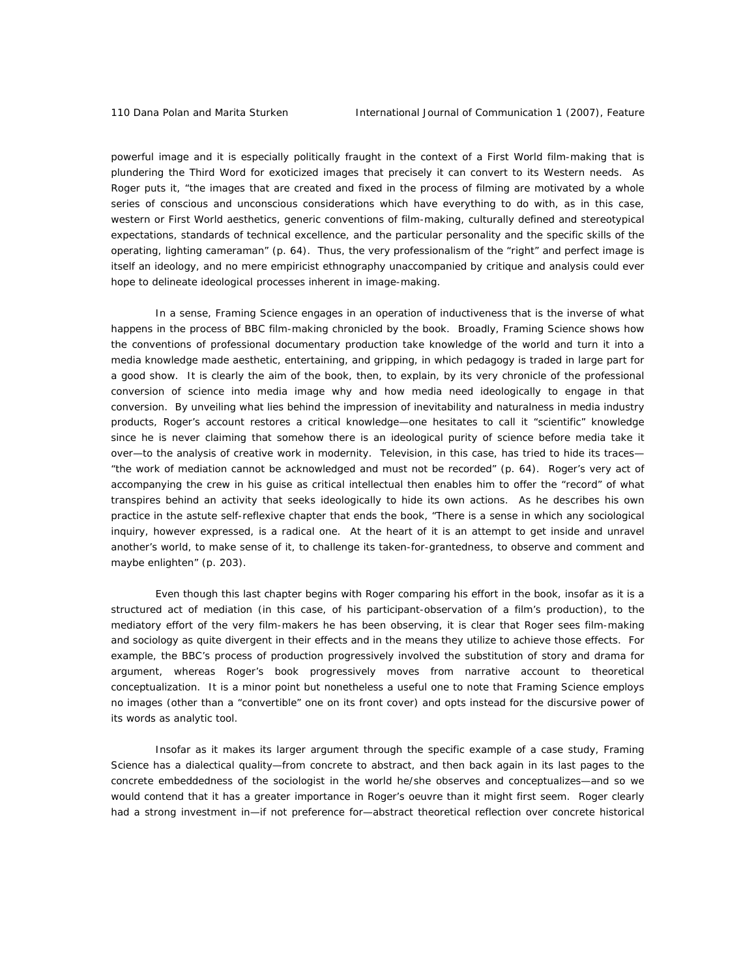powerful image and it is especially politically fraught in the context of a First World film-making that is plundering the Third Word for exoticized images that precisely it can convert to its Western needs. As Roger puts it, "the images that are created and fixed in the process of filming are motivated by a whole series of conscious and unconscious considerations which have everything to do with, as in this case, western or First World aesthetics, generic conventions of film-making, culturally defined and stereotypical expectations, standards of technical excellence, and the particular personality and the specific skills of the operating, lighting cameraman" (p. 64). Thus, the very professionalism of the "right" and perfect image is itself an ideology, and no mere empiricist ethnography unaccompanied by critique and analysis could ever hope to delineate ideological processes inherent in image-making.

In a sense, *Framing Science* engages in an operation of inductiveness that is the inverse of what happens in the process of BBC film-making chronicled by the book. Broadly, *Framing Science* shows how the conventions of professional documentary production take knowledge of the world and turn it into a media knowledge made aesthetic, entertaining, and gripping, in which pedagogy is traded in large part for a good show. It is clearly the aim of the book, then, to explain, by its very chronicle of the professional conversion of science into media image why and how media need ideologically to engage in that conversion. By unveiling what lies behind the impression of inevitability and naturalness in media industry products, Roger's account restores a critical knowledge—one hesitates to call it "scientific" knowledge since he is never claiming that somehow there is an ideological purity of science before media take it over—to the analysis of creative work in modernity. Television, in this case, has tried to hide its traces— "the work of mediation cannot be acknowledged and must not be recorded" (p. 64). Roger's very act of accompanying the crew in his guise as critical intellectual then enables him to offer the "record" of what transpires behind an activity that seeks ideologically to hide its own actions. As he describes his own practice in the astute self-reflexive chapter that ends the book, "There is a sense in which any sociological inquiry, however expressed, is a radical one. At the heart of it is an attempt to get inside and unravel another's world, to make sense of it, to challenge its taken-for-grantedness, to observe and comment and maybe enlighten" (p. 203).

Even though this last chapter begins with Roger comparing his effort in the book, insofar as it is a structured act of mediation (in this case, of his participant-observation of a film's production), to the mediatory effort of the very film-makers he has been observing, it is clear that Roger sees film-making and sociology as quite divergent in their effects and in the means they utilize to achieve those effects. For example, the BBC's process of production progressively involved the substitution of story and drama for argument, whereas Roger's book progressively moves from narrative account to theoretical conceptualization. It is a minor point but nonetheless a useful one to note that *Framing Science* employs no images (other than a "convertible" one on its front cover) and opts instead for the discursive power of its words as analytic tool.

Insofar as it makes its larger argument through the specific example of a case study, *Framing Science* has a dialectical quality—from concrete to abstract, and then back again in its last pages to the concrete embeddedness of the sociologist in the world he/she observes and conceptualizes—and so we would contend that it has a greater importance in Roger's oeuvre than it might first seem. Roger clearly had a strong investment in—if not preference for—abstract theoretical reflection over concrete historical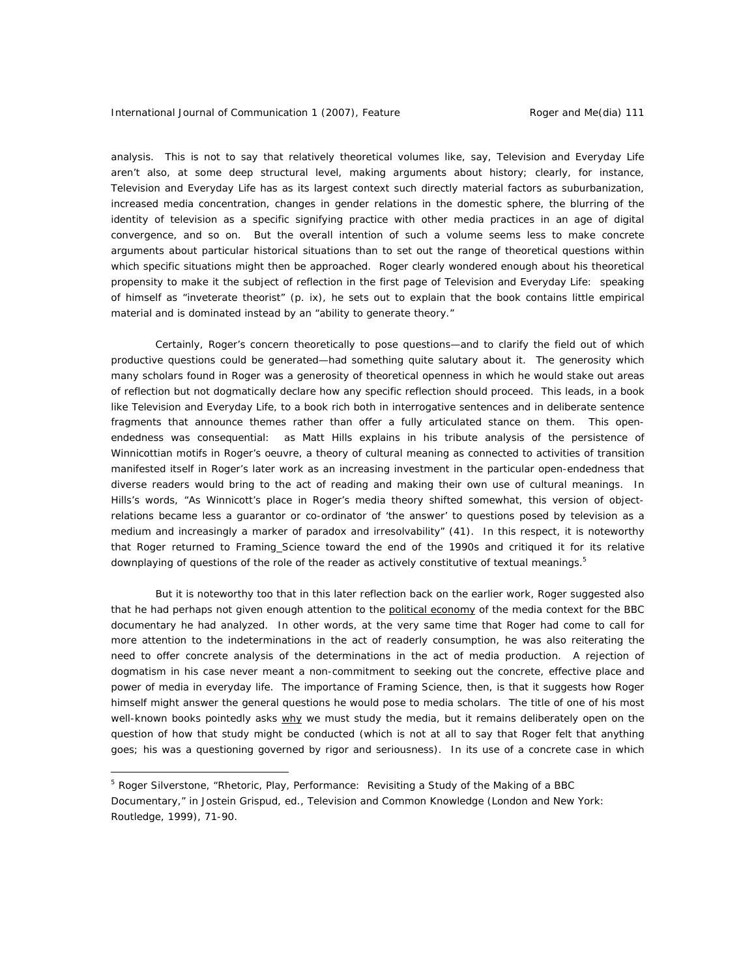analysis. This is not to say that relatively theoretical volumes like, say, *Television and Everyday Life* aren't also, at some deep structural level, making arguments about history; clearly, for instance, *Television and Everyday Life* has as its largest context such directly material factors as suburbanization, increased media concentration, changes in gender relations in the domestic sphere, the blurring of the identity of television as a specific signifying practice with other media practices in an age of digital convergence, and so on. But the overall intention of such a volume seems less to make concrete arguments about particular historical situations than to set out the range of theoretical questions within which specific situations might then be approached. Roger clearly wondered enough about his theoretical propensity to make it the subject of reflection in the first page of *Television and Everyday Life*: speaking of himself as "inveterate theorist" (p. ix), he sets out to explain that the book contains little empirical material and is dominated instead by an "ability to generate theory."

Certainly, Roger's concern theoretically to pose questions—and to clarify the field out of which productive questions could be generated—had something quite salutary about it. The generosity which many scholars found in Roger was a generosity of theoretical openness in which he would stake out areas of reflection but not dogmatically declare how any specific reflection should proceed. This leads, in a book like *Television and Everyday Life*, to a book rich both in interrogative sentences and in deliberate sentence fragments that announce themes rather than offer a fully articulated stance on them. This openendedness was consequential: as Matt Hills explains in his tribute analysis of the persistence of Winnicottian motifs in Roger's oeuvre, a theory of cultural meaning as connected to activities of transition manifested itself in Roger's later work as an increasing investment in the particular open-endedness that diverse readers would bring to the act of reading and making their own use of cultural meanings. In Hills's words, "As Winnicott's place in Roger's media theory shifted somewhat, this version of objectrelations became less a guarantor or co-ordinator of 'the answer' to questions posed by television as a medium and increasingly a marker of paradox and irresolvability" (41). In this respect, it is noteworthy that Roger returned to *Framing Science* toward the end of the 1990s and critiqued it for its relative downplaying of questions of the role of the reader as actively constitutive of textual meanings.<sup>5</sup>

But it is noteworthy too that in this later reflection back on the earlier work, Roger suggested also that he had perhaps not given enough attention to the political economy of the media context for the BBC documentary he had analyzed. In other words, at the very same time that Roger had come to call for more attention to the indeterminations in the act of readerly consumption, he was also reiterating the need to offer concrete analysis of the determinations in the act of media production. A rejection of dogmatism in his case never meant a non-commitment to seeking out the concrete, effective place and power of media in everyday life. The importance of *Framing Science*, then, is that it suggests how Roger himself might answer the general questions he would pose to media scholars. The title of one of his most well-known books pointedly asks why we must study the media, but it remains deliberately open on the question of how that study might be conducted (which is not at all to say that Roger felt that anything goes; his was a questioning governed by rigor and seriousness). In its use of a concrete case in which

 $\overline{a}$ 

<sup>&</sup>lt;sup>5</sup> Roger Silverstone, "Rhetoric, Play, Performance: Revisiting a Study of the Making of a BBC Documentary," in Jostein Grispud, ed., *Television and Common Knowledge* (London and New York: Routledge, 1999), 71-90.